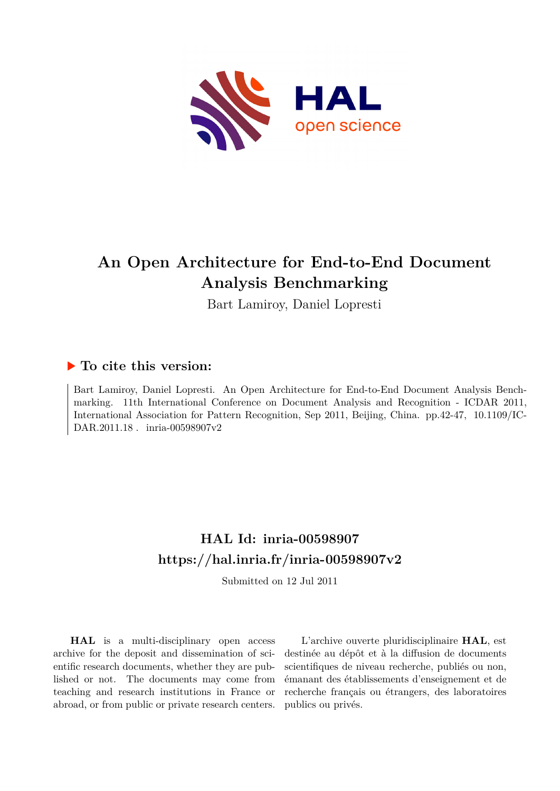

# **An Open Architecture for End-to-End Document Analysis Benchmarking**

Bart Lamiroy, Daniel Lopresti

### **To cite this version:**

Bart Lamiroy, Daniel Lopresti. An Open Architecture for End-to-End Document Analysis Benchmarking. 11th International Conference on Document Analysis and Recognition - ICDAR 2011, International Association for Pattern Recognition, Sep 2011, Beijing, China. pp.42-47, 10.1109/IC- $DAR.2011.18$ . inria-00598907v2

## **HAL Id: inria-00598907 <https://hal.inria.fr/inria-00598907v2>**

Submitted on 12 Jul 2011

**HAL** is a multi-disciplinary open access archive for the deposit and dissemination of scientific research documents, whether they are published or not. The documents may come from teaching and research institutions in France or abroad, or from public or private research centers.

L'archive ouverte pluridisciplinaire **HAL**, est destinée au dépôt et à la diffusion de documents scientifiques de niveau recherche, publiés ou non, émanant des établissements d'enseignement et de recherche français ou étrangers, des laboratoires publics ou privés.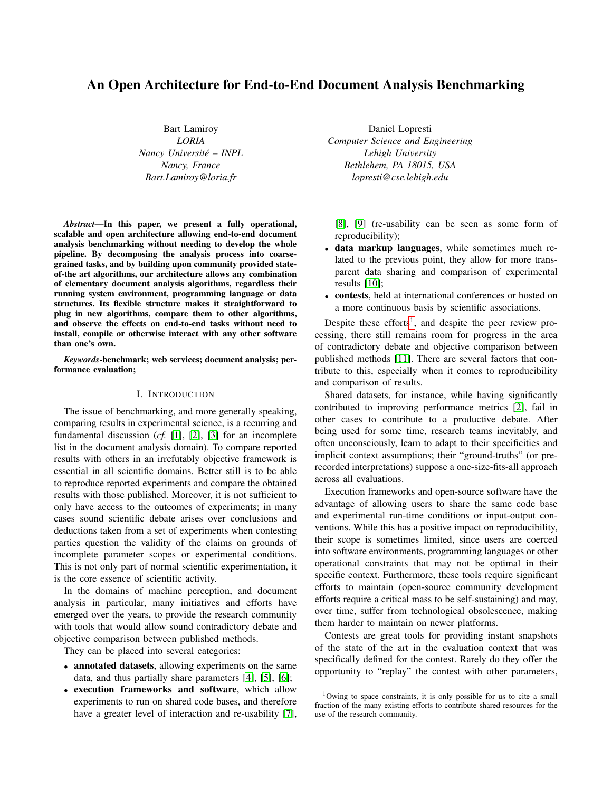### An Open Architecture for End-to-End Document Analysis Benchmarking

Bart Lamiroy *LORIA Nancy Université – INPL Nancy, France Bart.Lamiroy@loria.fr*

*Abstract*—In this paper, we present a fully operational, scalable and open architecture allowing end-to-end document analysis benchmarking without needing to develop the whole pipeline. By decomposing the analysis process into coarsegrained tasks, and by building upon community provided stateof-the art algorithms, our architecture allows any combination of elementary document analysis algorithms, regardless their running system environment, programming language or data structures. Its flexible structure makes it straightforward to plug in new algorithms, compare them to other algorithms, and observe the effects on end-to-end tasks without need to install, compile or otherwise interact with any other software than one's own.

*Keywords*-benchmark; web services; document analysis; performance evaluation;

#### I. INTRODUCTION

The issue of benchmarking, and more generally speaking, comparing results in experimental science, is a recurring and fundamental discussion (*cf.* [1], [2], [3] for an incomplete list in the document analysis domain). To compare reported results with others in an irrefutably objective framework is essential in all scientific domains. Better still is to be able to reproduce reported experiments and compare the obtained results with those published. Moreover, it is not sufficient to only have access to the outcomes of experiments; in many cases sound scientific debate arises over conclusions and deductions taken from a set of experiments when contesting parties question the validity of the claims on grounds of incomplete parameter scopes or experimental conditions. This is not only part of normal scientific experimentation, it is the core essence of scientific activity.

In the domains of machine perception, and document analysis in particular, many initiatives and efforts have emerged over the years, to provide the research community with tools that would allow sound contradictory debate and objective comparison between published methods.

They can be placed into several categories:

- annotated datasets, allowing experiments on the same data, and thus partially share parameters [4], [5], [6];
- execution frameworks and software, which allow experiments to run on shared code bases, and therefore have a greater level of interaction and re-usability [7],

Daniel Lopresti *Computer Science and Engineering Lehigh University Bethlehem, PA 18015, USA lopresti@cse.lehigh.edu*

[8], [9] (re-usability can be seen as some form of reproducibility);

- data markup languages, while sometimes much related to the previous point, they allow for more transparent data sharing and comparison of experimental results [10];
- contests, held at international conferences or hosted on a more continuous basis by scientific associations.

Despite these efforts<sup>1</sup>, and despite the peer review processing, there still remains room for progress in the area of contradictory debate and objective comparison between published methods [11]. There are several factors that contribute to this, especially when it comes to reproducibility and comparison of results.

Shared datasets, for instance, while having significantly contributed to improving performance metrics [2], fail in other cases to contribute to a productive debate. After being used for some time, research teams inevitably, and often unconsciously, learn to adapt to their specificities and implicit context assumptions; their "ground-truths" (or prerecorded interpretations) suppose a one-size-fits-all approach across all evaluations.

Execution frameworks and open-source software have the advantage of allowing users to share the same code base and experimental run-time conditions or input-output conventions. While this has a positive impact on reproducibility, their scope is sometimes limited, since users are coerced into software environments, programming languages or other operational constraints that may not be optimal in their specific context. Furthermore, these tools require significant efforts to maintain (open-source community development efforts require a critical mass to be self-sustaining) and may, over time, suffer from technological obsolescence, making them harder to maintain on newer platforms.

Contests are great tools for providing instant snapshots of the state of the art in the evaluation context that was specifically defined for the contest. Rarely do they offer the opportunity to "replay" the contest with other parameters,

<sup>1</sup>Owing to space constraints, it is only possible for us to cite a small fraction of the many existing efforts to contribute shared resources for the use of the research community.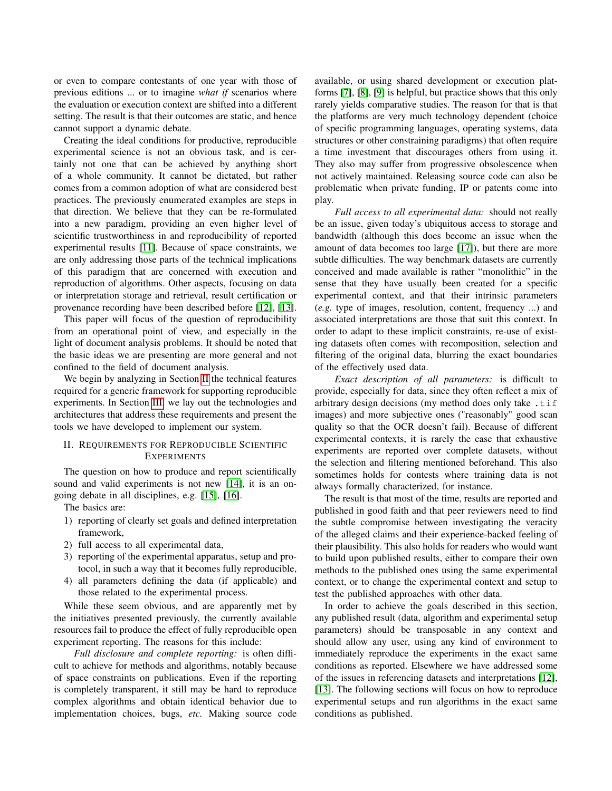or even to compare contestants of one year with those of previous editions ... or to imagine *what if* scenarios where the evaluation or execution context are shifted into a different setting. The result is that their outcomes are static, and hence cannot support a dynamic debate.

Creating the ideal conditions for productive, reproducible experimental science is not an obvious task, and is certainly not one that can be achieved by anything short of a whole community. It cannot be dictated, but rather comes from a common adoption of what are considered best practices. The previously enumerated examples are steps in that direction. We believe that they can be re-formulated into a new paradigm, providing an even higher level of scientific trustworthiness in and reproducibility of reported experimental results [11]. Because of space constraints, we are only addressing those parts of the technical implications of this paradigm that are concerned with execution and reproduction of algorithms. Other aspects, focusing on data or interpretation storage and retrieval, result certification or provenance recording have been described before [12], [13].

This paper will focus of the question of reproducibility from an operational point of view, and especially in the light of document analysis problems. It should be noted that the basic ideas we are presenting are more general and not confined to the field of document analysis.

We begin by analyzing in Section II the technical features required for a generic framework for supporting reproducible experiments. In Section III, we lay out the technologies and architectures that address these requirements and present the tools we have developed to implement our system.

#### II. REQUIREMENTS FOR REPRODUCIBLE SCIENTIFIC **EXPERIMENTS**

The question on how to produce and report scientifically sound and valid experiments is not new [14], it is an ongoing debate in all disciplines, e.g. [15], [16].

The basics are:

- 1) reporting of clearly set goals and defined interpretation framework,
- 2) full access to all experimental data,
- 3) reporting of the experimental apparatus, setup and protocol, in such a way that it becomes fully reproducible,
- 4) all parameters defining the data (if applicable) and those related to the experimental process.

While these seem obvious, and are apparently met by the initiatives presented previously, the currently available resources fail to produce the effect of fully reproducible open experiment reporting. The reasons for this include:

*Full disclosure and complete reporting:* is often difficult to achieve for methods and algorithms, notably because of space constraints on publications. Even if the reporting is completely transparent, it still may be hard to reproduce complex algorithms and obtain identical behavior due to implementation choices, bugs, *etc.* Making source code available, or using shared development or execution platforms [7], [8], [9] is helpful, but practice shows that this only rarely yields comparative studies. The reason for that is that the platforms are very much technology dependent (choice of specific programming languages, operating systems, data structures or other constraining paradigms) that often require a time investment that discourages others from using it. They also may suffer from progressive obsolescence when not actively maintained. Releasing source code can also be problematic when private funding, IP or patents come into play.

*Full access to all experimental data:* should not really be an issue, given today's ubiquitous access to storage and bandwidth (although this does become an issue when the amount of data becomes too large [17]), but there are more subtle difficulties. The way benchmark datasets are currently conceived and made available is rather "monolithic" in the sense that they have usually been created for a specific experimental context, and that their intrinsic parameters (*e.g.* type of images, resolution, content, frequency ...) and associated interpretations are those that suit this context. In order to adapt to these implicit constraints, re-use of existing datasets often comes with recomposition, selection and filtering of the original data, blurring the exact boundaries of the effectively used data.

*Exact description of all parameters:* is difficult to provide, especially for data, since they often reflect a mix of arbitrary design decisions (my method does only take .tif images) and more subjective ones ("reasonably" good scan quality so that the OCR doesn't fail). Because of different experimental contexts, it is rarely the case that exhaustive experiments are reported over complete datasets, without the selection and filtering mentioned beforehand. This also sometimes holds for contests where training data is not always formally characterized, for instance.

The result is that most of the time, results are reported and published in good faith and that peer reviewers need to find the subtle compromise between investigating the veracity of the alleged claims and their experience-backed feeling of their plausibility. This also holds for readers who would want to build upon published results, either to compare their own methods to the published ones using the same experimental context, or to change the experimental context and setup to test the published approaches with other data.

In order to achieve the goals described in this section, any published result (data, algorithm and experimental setup parameters) should be transposable in any context and should allow any user, using any kind of environment to immediately reproduce the experiments in the exact same conditions as reported. Elsewhere we have addressed some of the issues in referencing datasets and interpretations [12], [13]. The following sections will focus on how to reproduce experimental setups and run algorithms in the exact same conditions as published.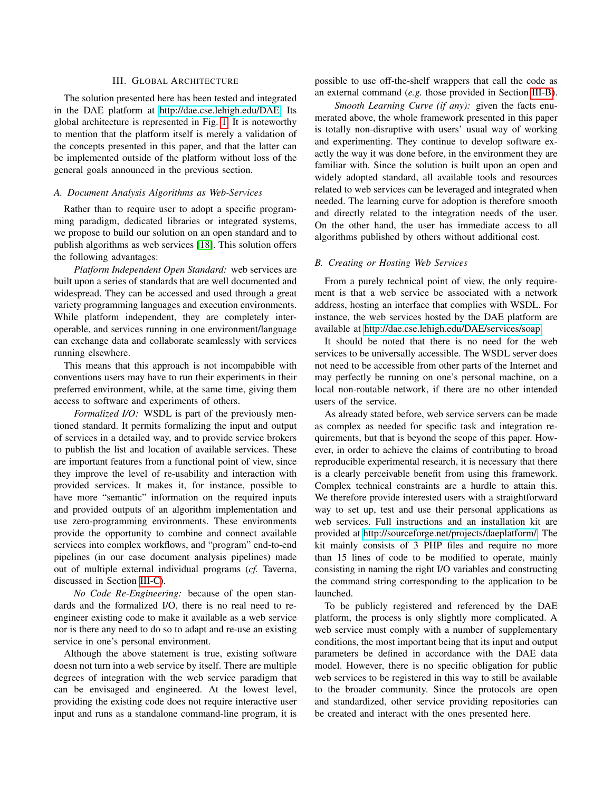#### III. GLOBAL ARCHITECTURE

The solution presented here has been tested and integrated in the DAE platform at [http://dae.cse.lehigh.edu/DAE.](http://dae.cse.lehigh.edu/DAE) Its global architecture is represented in Fig. 1. It is noteworthy to mention that the platform itself is merely a validation of the concepts presented in this paper, and that the latter can be implemented outside of the platform without loss of the general goals announced in the previous section.

#### *A. Document Analysis Algorithms as Web-Services*

Rather than to require user to adopt a specific programming paradigm, dedicated libraries or integrated systems, we propose to build our solution on an open standard and to publish algorithms as web services [18]. This solution offers the following advantages:

*Platform Independent Open Standard:* web services are built upon a series of standards that are well documented and widespread. They can be accessed and used through a great variety programming languages and execution environments. While platform independent, they are completely interoperable, and services running in one environment/language can exchange data and collaborate seamlessly with services running elsewhere.

This means that this approach is not incompabible with conventions users may have to run their experiments in their preferred environment, while, at the same time, giving them access to software and experiments of others.

*Formalized I/O:* WSDL is part of the previously mentioned standard. It permits formalizing the input and output of services in a detailed way, and to provide service brokers to publish the list and location of available services. These are important features from a functional point of view, since they improve the level of re-usability and interaction with provided services. It makes it, for instance, possible to have more "semantic" information on the required inputs and provided outputs of an algorithm implementation and use zero-programming environments. These environments provide the opportunity to combine and connect available services into complex workflows, and "program" end-to-end pipelines (in our case document analysis pipelines) made out of multiple external individual programs (*cf.* Taverna, discussed in Section III-C).

*No Code Re-Engineering:* because of the open standards and the formalized I/O, there is no real need to reengineer existing code to make it available as a web service nor is there any need to do so to adapt and re-use an existing service in one's personal environment.

Although the above statement is true, existing software doesn not turn into a web service by itself. There are multiple degrees of integration with the web service paradigm that can be envisaged and engineered. At the lowest level, providing the existing code does not require interactive user input and runs as a standalone command-line program, it is possible to use off-the-shelf wrappers that call the code as an external command (*e.g.* those provided in Section III-B).

*Smooth Learning Curve (if any):* given the facts enumerated above, the whole framework presented in this paper is totally non-disruptive with users' usual way of working and experimenting. They continue to develop software exactly the way it was done before, in the environment they are familiar with. Since the solution is built upon an open and widely adopted standard, all available tools and resources related to web services can be leveraged and integrated when needed. The learning curve for adoption is therefore smooth and directly related to the integration needs of the user. On the other hand, the user has immediate access to all algorithms published by others without additional cost.

#### *B. Creating or Hosting Web Services*

From a purely technical point of view, the only requirement is that a web service be associated with a network address, hosting an interface that complies with WSDL. For instance, the web services hosted by the DAE platform are available at [http://dae.cse.lehigh.edu/DAE/services/soap.](http://dae.cse.lehigh.edu/DAE/services/soap)

It should be noted that there is no need for the web services to be universally accessible. The WSDL server does not need to be accessible from other parts of the Internet and may perfectly be running on one's personal machine, on a local non-routable network, if there are no other intended users of the service.

As already stated before, web service servers can be made as complex as needed for specific task and integration requirements, but that is beyond the scope of this paper. However, in order to achieve the claims of contributing to broad reproducible experimental research, it is necessary that there is a clearly perceivable benefit from using this framework. Complex technical constraints are a hurdle to attain this. We therefore provide interested users with a straightforward way to set up, test and use their personal applications as web services. Full instructions and an installation kit are provided at [http://sourceforge.net/projects/daeplatform/.](http://sourceforge.net/projects/daeplatform/) The kit mainly consists of 3 PHP files and require no more than 15 lines of code to be modified to operate, mainly consisting in naming the right I/O variables and constructing the command string corresponding to the application to be launched.

To be publicly registered and referenced by the DAE platform, the process is only slightly more complicated. A web service must comply with a number of supplementary conditions, the most important being that its input and output parameters be defined in accordance with the DAE data model. However, there is no specific obligation for public web services to be registered in this way to still be available to the broader community. Since the protocols are open and standardized, other service providing repositories can be created and interact with the ones presented here.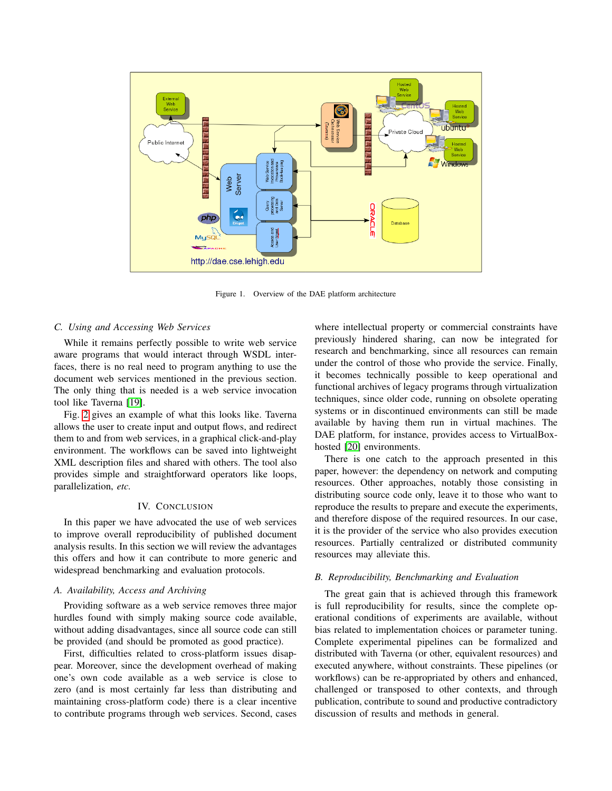

Figure 1. Overview of the DAE platform architecture

#### *C. Using and Accessing Web Services*

While it remains perfectly possible to write web service aware programs that would interact through WSDL interfaces, there is no real need to program anything to use the document web services mentioned in the previous section. The only thing that is needed is a web service invocation tool like Taverna [19].

Fig. 2 gives an example of what this looks like. Taverna allows the user to create input and output flows, and redirect them to and from web services, in a graphical click-and-play environment. The workflows can be saved into lightweight XML description files and shared with others. The tool also provides simple and straightforward operators like loops, parallelization, *etc.*

#### IV. CONCLUSION

In this paper we have advocated the use of web services to improve overall reproducibility of published document analysis results. In this section we will review the advantages this offers and how it can contribute to more generic and widespread benchmarking and evaluation protocols.

#### *A. Availability, Access and Archiving*

Providing software as a web service removes three major hurdles found with simply making source code available, without adding disadvantages, since all source code can still be provided (and should be promoted as good practice).

First, difficulties related to cross-platform issues disappear. Moreover, since the development overhead of making one's own code available as a web service is close to zero (and is most certainly far less than distributing and maintaining cross-platform code) there is a clear incentive to contribute programs through web services. Second, cases where intellectual property or commercial constraints have previously hindered sharing, can now be integrated for research and benchmarking, since all resources can remain under the control of those who provide the service. Finally, it becomes technically possible to keep operational and functional archives of legacy programs through virtualization techniques, since older code, running on obsolete operating systems or in discontinued environments can still be made available by having them run in virtual machines. The DAE platform, for instance, provides access to VirtualBoxhosted [20] environments.

There is one catch to the approach presented in this paper, however: the dependency on network and computing resources. Other approaches, notably those consisting in distributing source code only, leave it to those who want to reproduce the results to prepare and execute the experiments, and therefore dispose of the required resources. In our case, it is the provider of the service who also provides execution resources. Partially centralized or distributed community resources may alleviate this.

#### *B. Reproducibility, Benchmarking and Evaluation*

The great gain that is achieved through this framework is full reproducibility for results, since the complete operational conditions of experiments are available, without bias related to implementation choices or parameter tuning. Complete experimental pipelines can be formalized and distributed with Taverna (or other, equivalent resources) and executed anywhere, without constraints. These pipelines (or workflows) can be re-appropriated by others and enhanced, challenged or transposed to other contexts, and through publication, contribute to sound and productive contradictory discussion of results and methods in general.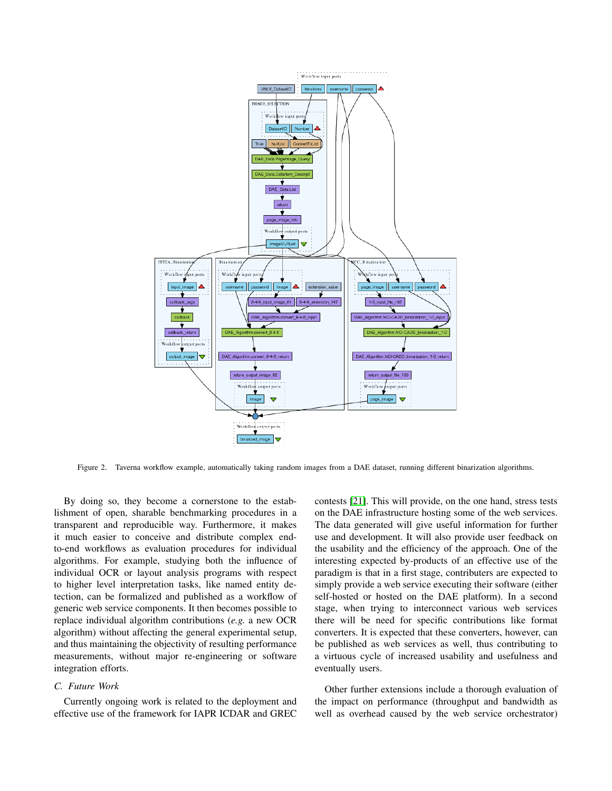

Figure 2. Taverna workflow example, automatically taking random images from a DAE dataset, running different binarization algorithms.

By doing so, they become a cornerstone to the establishment of open, sharable benchmarking procedures in a transparent and reproducible way. Furthermore, it makes it much easier to conceive and distribute complex endto-end workflows as evaluation procedures for individual algorithms. For example, studying both the influence of individual OCR or layout analysis programs with respect to higher level interpretation tasks, like named entity detection, can be formalized and published as a workflow of generic web service components. It then becomes possible to replace individual algorithm contributions (*e.g.* a new OCR algorithm) without affecting the general experimental setup, and thus maintaining the objectivity of resulting performance measurements, without major re-engineering or software integration efforts.

#### *C. Future Work*

Currently ongoing work is related to the deployment and effective use of the framework for IAPR ICDAR and GREC contests [21]. This will provide, on the one hand, stress tests on the DAE infrastructure hosting some of the web services. The data generated will give useful information for further use and development. It will also provide user feedback on the usability and the efficiency of the approach. One of the interesting expected by-products of an effective use of the paradigm is that in a first stage, contributers are expected to simply provide a web service executing their software (either self-hosted or hosted on the DAE platform). In a second stage, when trying to interconnect various web services there will be need for specific contributions like format converters. It is expected that these converters, however, can be published as web services as well, thus contributing to a virtuous cycle of increased usability and usefulness and eventually users.

Other further extensions include a thorough evaluation of the impact on performance (throughput and bandwidth as well as overhead caused by the web service orchestrator)